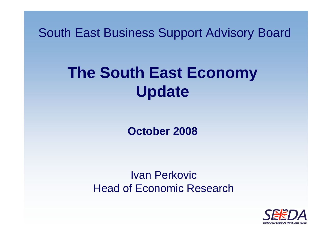South East Business Support Advisory Board

# **The South East Economy Update**

**October 2008**

Ivan PerkovicHead of Economic Research

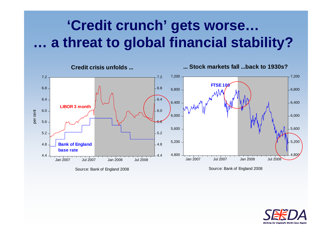# **'Credit crunch' gets worse… … a threat to global financial stability?**



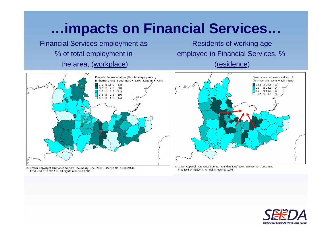### **…impacts on Financial Services…**

Financial Services employment as % of total employment in the area, (workplace)

Residents of working age employed in Financial Services, % (residence)



© Crown Copyright Ordnance Survey. 'Boundary Line' 2007. License No. 100029140 Produced by SEEDA @ All rights reserved 2008



© Crown Copyright Ordnance Survey. 'Boundary Line' 2007. License No. 100029140 Produced by SEEDA C All rights reserved 2008

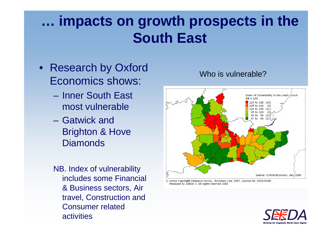# **… impacts on growth prospects in the South East**

- Research by Oxford Economics shows:
	- Inner South East most vulnerable
	- Gatwick and Brighton & Hove **Diamonds**
	- NB. Index of vulnerability includes some Financial & Business sectors, Air travel, Construction and Consumer related activities

#### Index of Vulnerability to the credit crunch  $GR = 100$ 110 to 126 (14) 05 to 110 00 to 105 (11) 95 to 100 (9) 90 to 95 (10) 67 to 90 (17) Source: Oxford Economic, July 2008

© Crown Copyright Ordnance Survey. 'Boundary Line' 2007. License No. 100029140 Produced by SEEDA @ All rights reserved 2008



#### Who is vulnerable?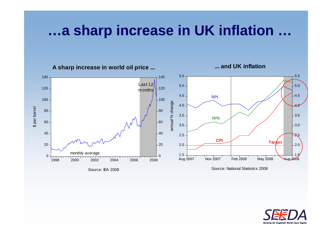#### **…a sharp increase in UK inflation …**



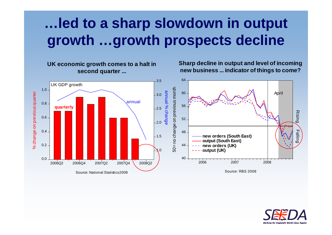# **…led to a sharp slowdown in output growth …growth prospects decline**



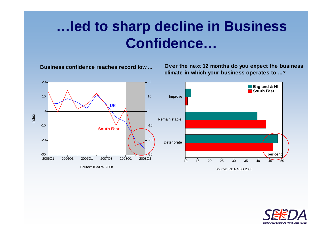## **…led to sharp decline in Business Confidence…**

**Business confidence reaches record low ...**

**Over the next 12 months do you expect the business climate in which your business operates to ...?**



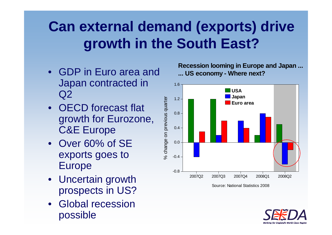# **Can external demand (exports) drive growth in the South East?**

- GDP in Euro area and Japan contracted in  $Q2$
- OECD forecast flat growth for Eurozone, C&E Europe
- Over 60% of SE exports goes to Europe
- Uncertain growth prospects in US?
- Global recession possible

**Recession looming in Europe and Japan ... ... US economy - Where next?**



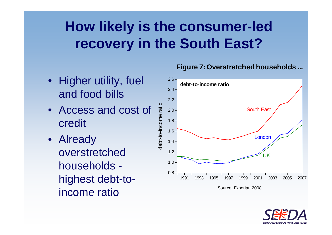# **How likely is the consumer-led recovery in the South East?**

- Higher utility, fuel and food bills
- Access and cost of credit
- Already overstretched households highest debt-toincome ratio

#### 2.6**debt-to-income ratio** $2.4 \cdot$  $2.2$ debt-to-income ratio debt-to-income ratio South East 2.0 1.8 1.6 London 1.4 1.2 LIK  $1.0 \cdot$ 0.81991 1993 1995 1997 1999 2001 2003 2005 2007 Source: Experian 2008

**Figure 7: Overstretched households ...**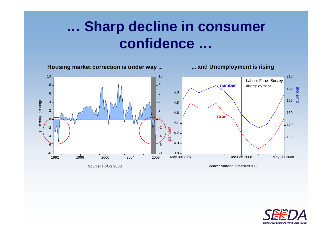## **… Sharp decline in consumer confidence …**



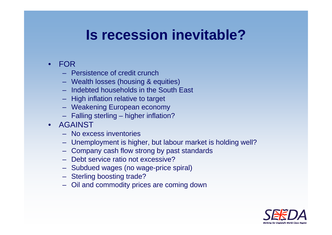### **Is recession inevitable?**

- FOR
	- Persistence of credit crunch
	- Wealth losses (housing & equities)
	- Indebted households in the South East
	- High inflation relative to target
	- Weakening European economy
	- Falling sterling higher inflation?
- AGAINST
	- No excess inventories
	- Unemployment is higher, but labour market is holding well?
	- Company cash flow strong by past standards
	- Debt service ratio not excessive?
	- Subdued wages (no wage-price spiral)
	- Sterling boosting trade?
	- Oil and commodity prices are coming down